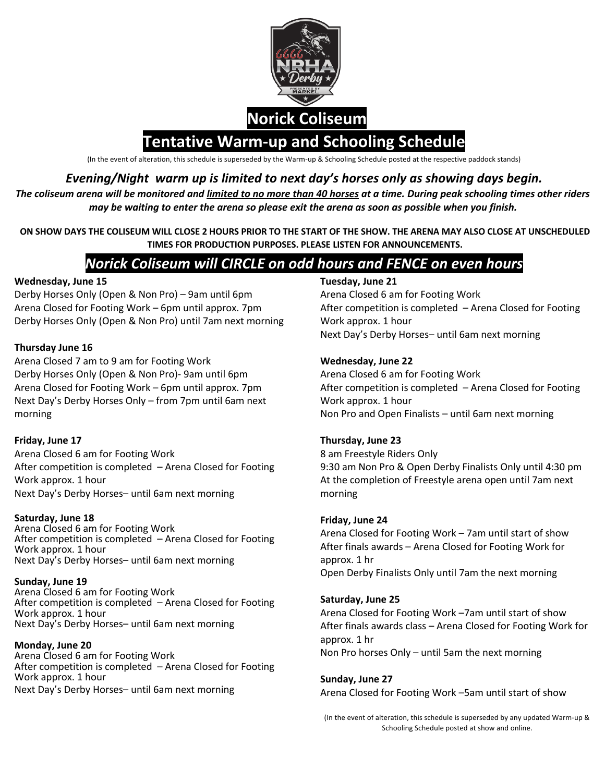

(In the event of alteration, this schedule is superseded by the Warm-up & Schooling Schedule posted at the respective paddock stands)

## *Evening/Night warm up is limited to next day's horses only as showing days begin.*

*The coliseum arena will be monitored and limited to no more than 40 horses at a time. During peak schooling times other riders may be waiting to enter the arena so please exit the arena as soon as possible when you finish.* 

**ON SHOW DAYS THE COLISEUM WILL CLOSE 2 HOURS PRIOR TO THE START OF THE SHOW. THE ARENA MAY ALSO CLOSE AT UNSCHEDULED TIMES FOR PRODUCTION PURPOSES. PLEASE LISTEN FOR ANNOUNCEMENTS.** 

# *Norick Coliseum will CIRCLE on odd hours and FENCE on even hours*

### **Wednesday, June 15**

Derby Horses Only (Open & Non Pro) – 9am until 6pm Arena Closed for Footing Work – 6pm until approx. 7pm Derby Horses Only (Open & Non Pro) until 7am next morning

## **Thursday June 16**

Arena Closed 7 am to 9 am for Footing Work Derby Horses Only (Open & Non Pro)- 9am until 6pm Arena Closed for Footing Work – 6pm until approx. 7pm Next Day's Derby Horses Only – from 7pm until 6am next morning

## **Friday, June 17**

Arena Closed 6 am for Footing Work After competition is completed – Arena Closed for Footing Work approx. 1 hour Next Day's Derby Horses– until 6am next morning

## **Saturday, June 18**

Arena Closed 6 am for Footing Work After competition is completed – Arena Closed for Footing Work approx. 1 hour Next Day's Derby Horses– until 6am next morning

### **Sunday, June 19**

Arena Closed 6 am for Footing Work After competition is completed – Arena Closed for Footing Work approx. 1 hour Next Day's Derby Horses– until 6am next morning

## **Monday, June 20**

Arena Closed 6 am for Footing Work After competition is completed – Arena Closed for Footing Work approx. 1 hour Next Day's Derby Horses– until 6am next morning

### **Tuesday, June 21**

Arena Closed 6 am for Footing Work After competition is completed – Arena Closed for Footing Work approx. 1 hour Next Day's Derby Horses– until 6am next morning

### **Wednesday, June 22**

Arena Closed 6 am for Footing Work After competition is completed – Arena Closed for Footing Work approx. 1 hour Non Pro and Open Finalists – until 6am next morning

## **Thursday, June 23**

8 am Freestyle Riders Only 9:30 am Non Pro & Open Derby Finalists Only until 4:30 pm At the completion of Freestyle arena open until 7am next morning

## **Friday, June 24**

Arena Closed for Footing Work – 7am until start of show After finals awards – Arena Closed for Footing Work for approx. 1 hr Open Derby Finalists Only until 7am the next morning

### **Saturday, June 25**

Arena Closed for Footing Work –7am until start of show After finals awards class – Arena Closed for Footing Work for approx. 1 hr Non Pro horses Only – until 5am the next morning

### **Sunday, June 27**

Arena Closed for Footing Work –5am until start of show

(In the event of alteration, this schedule is superseded by any updated Warm-up & Schooling Schedule posted at show and online.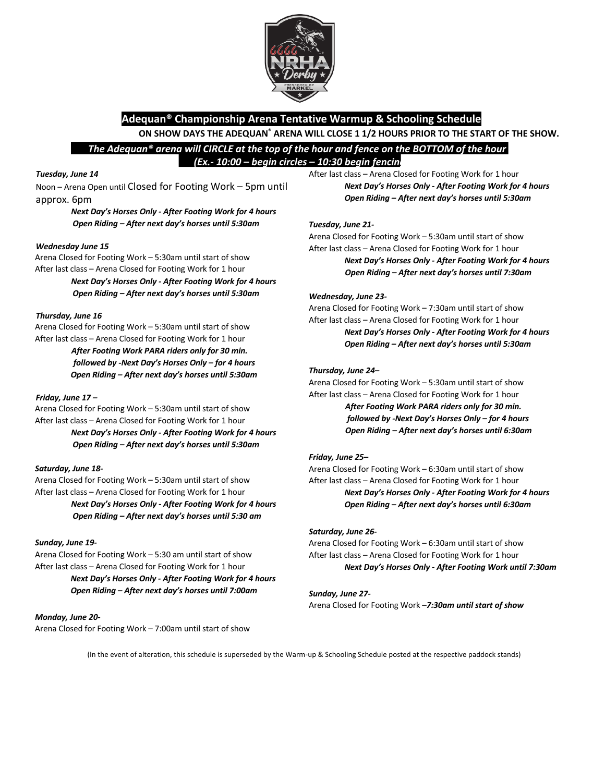

## **Adequan® Championship Arena Tentative Warmup & Schooling Schedule ON SHOW DAYS THE ADEQUAN® ARENA WILL CLOSE 1 1/2 HOURS PRIOR TO THE START OF THE SHOW.**

 *The Adequan® arena will CIRCLE at the top of the hour and fence on the BOTTOM of the hour (Ex.- 10:00 – begin circles – 10:30 begin fencing)*

#### *Tuesday, June 14*

Noon – Arena Open until Closed for Footing Work – 5pm until approx. 6pm

> *Next Day's Horses Only - After Footing Work for 4 hours Open Riding – After next day's horses until 5:30am*

#### *Wednesday June 15*

Arena Closed for Footing Work – 5:30am until start of show After last class – Arena Closed for Footing Work for 1 hour

> *Next Day's Horses Only - After Footing Work for 4 hours Open Riding – After next day's horses until 5:30am*

#### *Thursday, June 16*

Arena Closed for Footing Work – 5:30am until start of show After last class – Arena Closed for Footing Work for 1 hour

> *After Footing Work PARA riders only for 30 min. followed by -Next Day's Horses Only – for 4 hours Open Riding – After next day's horses until 5:30am*

#### *Friday, June 17 –*

Arena Closed for Footing Work – 5:30am until start of show After last class – Arena Closed for Footing Work for 1 hour *Next Day's Horses Only - After Footing Work for 4 hours Open Riding – After next day's horses until 5:30am* 

#### *Saturday, June 18-*

Arena Closed for Footing Work – 5:30am until start of show After last class – Arena Closed for Footing Work for 1 hour *Next Day's Horses Only - After Footing Work for 4 hours* 

*Open Riding – After next day's horses until 5:30 am* 

### *Sunday, June 19-*

Arena Closed for Footing Work – 5:30 am until start of show After last class – Arena Closed for Footing Work for 1 hour *Next Day's Horses Only - After Footing Work for 4 hours Open Riding – After next day's horses until 7:00am* 

#### *Monday, June 20-*

Arena Closed for Footing Work – 7:00am until start of show

After last class – Arena Closed for Footing Work for 1 hour *Next Day's Horses Only - After Footing Work for 4 hours Open Riding – After next day's horses until 5:30am* 

#### *Tuesday, June 21-*

Arena Closed for Footing Work – 5:30am until start of show After last class – Arena Closed for Footing Work for 1 hour *Next Day's Horses Only - After Footing Work for 4 hours Open Riding – After next day's horses until 7:30am* 

#### *Wednesday, June 23-*

Arena Closed for Footing Work – 7:30am until start of show After last class – Arena Closed for Footing Work for 1 hour

*Next Day's Horses Only - After Footing Work for 4 hours Open Riding – After next day's horses until 5:30am* 

#### *Thursday, June 24–*

Arena Closed for Footing Work – 5:30am until start of show After last class – Arena Closed for Footing Work for 1 hour *After Footing Work PARA riders only for 30 min. followed by -Next Day's Horses Only – for 4 hours Open Riding – After next day's horses until 6:30am* 

#### *Friday, June 25–*

Arena Closed for Footing Work – 6:30am until start of show After last class – Arena Closed for Footing Work for 1 hour *Next Day's Horses Only - After Footing Work for 4 hours Open Riding – After next day's horses until 6:30am* 

#### *Saturday, June 26-*

Arena Closed for Footing Work – 6:30am until start of show After last class – Arena Closed for Footing Work for 1 hour *Next Day's Horses Only - After Footing Work until 7:30am* 

### *Sunday, June 27-*

Arena Closed for Footing Work –*7:30am until start of show*

(In the event of alteration, this schedule is superseded by the Warm-up & Schooling Schedule posted at the respective paddock stands)